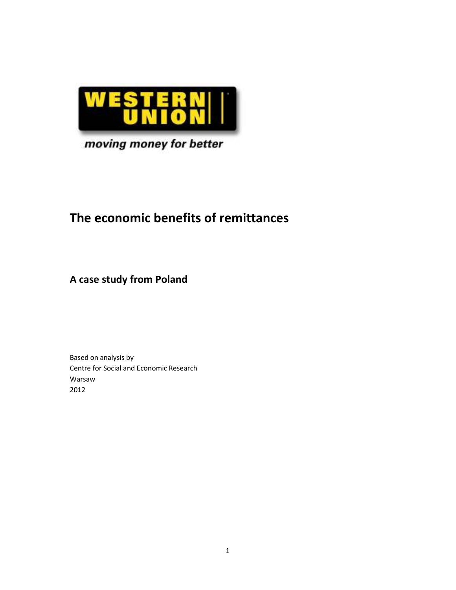

## moving money for better

# **The economic benefits of remittances**

**A case study from Poland** 

Based on analysis by Centre for Social and Economic Research Warsaw 2012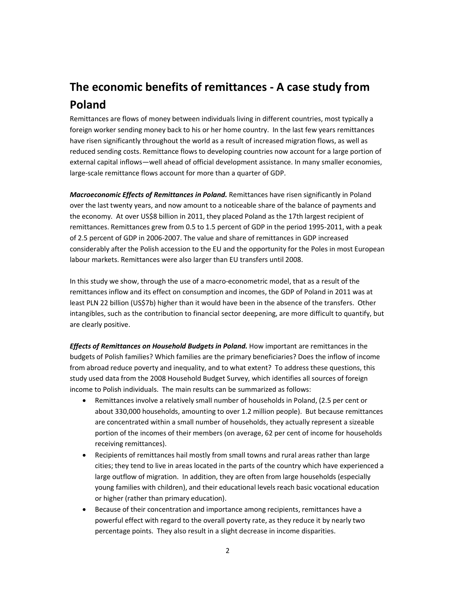# **The economic benefits of remittances - A case study from Poland**

Remittances are flows of money between individuals living in different countries, most typically a foreign worker sending money back to his or her home country. In the last few years remittances have risen significantly throughout the world as a result of increased migration flows, as well as reduced sending costs. Remittance flows to developing countries now account for a large portion of external capital inflows—well ahead of official development assistance. In many smaller economies, large-scale remittance flows account for more than a quarter of GDP.

*Macroeconomic Effects of Remittances in Poland.* Remittances have risen significantly in Poland over the last twenty years, and now amount to a noticeable share of the balance of payments and the economy. At over US\$8 billion in 2011, they placed Poland as the 17th largest recipient of remittances. Remittances grew from 0.5 to 1.5 percent of GDP in the period 1995-2011, with a peak of 2.5 percent of GDP in 2006-2007. The value and share of remittances in GDP increased considerably after the Polish accession to the EU and the opportunity for the Poles in most European labour markets. Remittances were also larger than EU transfers until 2008.

In this study we show, through the use of a macro-econometric model, that as a result of the remittances inflow and its effect on consumption and incomes, the GDP of Poland in 2011 was at least PLN 22 billion (US\$7b) higher than it would have been in the absence of the transfers. Other intangibles, such as the contribution to financial sector deepening, are more difficult to quantify, but are clearly positive.

*Effects of Remittances on Household Budgets in Poland.* How important are remittances in the budgets of Polish families? Which families are the primary beneficiaries? Does the inflow of income from abroad reduce poverty and inequality, and to what extent? To address these questions, this study used data from the 2008 Household Budget Survey, which identifies all sources of foreign income to Polish individuals. The main results can be summarized as follows:

- Remittances involve a relatively small number of households in Poland, (2.5 per cent or about 330,000 households, amounting to over 1.2 million people). But because remittances are concentrated within a small number of households, they actually represent a sizeable portion of the incomes of their members (on average, 62 per cent of income for households receiving remittances).
- Recipients of remittances hail mostly from small towns and rural areas rather than large cities; they tend to live in areas located in the parts of the country which have experienced a large outflow of migration. In addition, they are often from large households (especially young families with children), and their educational levels reach basic vocational education or higher (rather than primary education).
- Because of their concentration and importance among recipients, remittances have a powerful effect with regard to the overall poverty rate, as they reduce it by nearly two percentage points. They also result in a slight decrease in income disparities.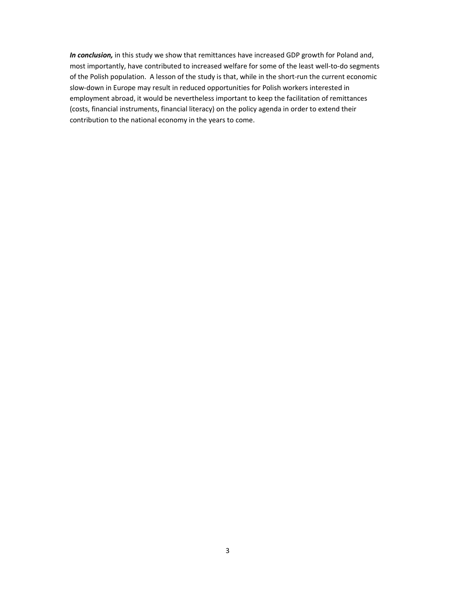*In conclusion,* in this study we show that remittances have increased GDP growth for Poland and, most importantly, have contributed to increased welfare for some of the least well-to-do segments of the Polish population. A lesson of the study is that, while in the short-run the current economic slow-down in Europe may result in reduced opportunities for Polish workers interested in employment abroad, it would be nevertheless important to keep the facilitation of remittances (costs, financial instruments, financial literacy) on the policy agenda in order to extend their contribution to the national economy in the years to come.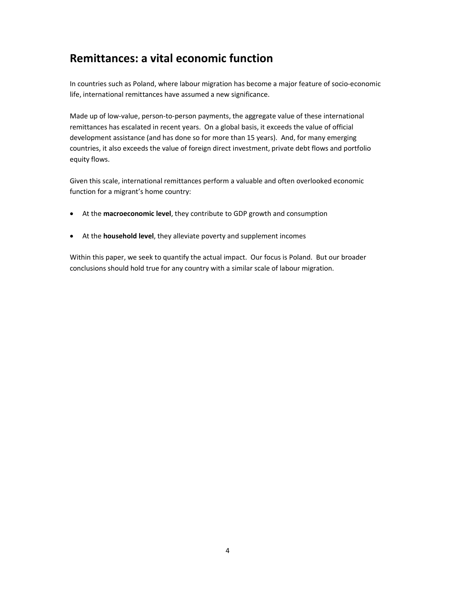## **Remittances: a vital economic function**

In countries such as Poland, where labour migration has become a major feature of socio-economic life, international remittances have assumed a new significance.

Made up of low-value, person-to-person payments, the aggregate value of these international remittances has escalated in recent years. On a global basis, it exceeds the value of official development assistance (and has done so for more than 15 years). And, for many emerging countries, it also exceeds the value of foreign direct investment, private debt flows and portfolio equity flows.

Given this scale, international remittances perform a valuable and often overlooked economic function for a migrant's home country:

- At the **macroeconomic level**, they contribute to GDP growth and consumption
- At the **household level**, they alleviate poverty and supplement incomes

Within this paper, we seek to quantify the actual impact. Our focus is Poland. But our broader conclusions should hold true for any country with a similar scale of labour migration.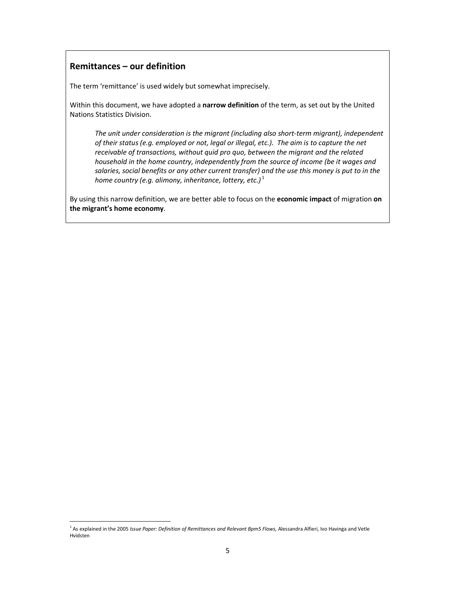### **Remittances – our definition**

l

The term 'remittance' is used widely but somewhat imprecisely.

Within this document, we have adopted a **narrow definition** of the term, as set out by the United Nations Statistics Division.

*The unit under consideration is the migrant (including also short-term migrant), independent of their status (e.g. employed or not, legal or illegal, etc.). The aim is to capture the net receivable of transactions, without quid pro quo, between the migrant and the related household in the home country, independently from the source of income (be it wages and salaries, social benefits or any other current transfer) and the use this money is put to in the home country (e.g. alimony, inheritance, lottery, etc.)*<sup>1</sup>

By using this narrow definition, we are better able to focus on the **economic impact** of migration **on the migrant's home economy**.

<sup>&</sup>lt;sup>1</sup> As explained in the 2005 *Issue Paper: Definition of Remittances and Relevant Bpm5 Flows, Alessandra Alfieri, Ivo Havinga and Vetle* Hvidsten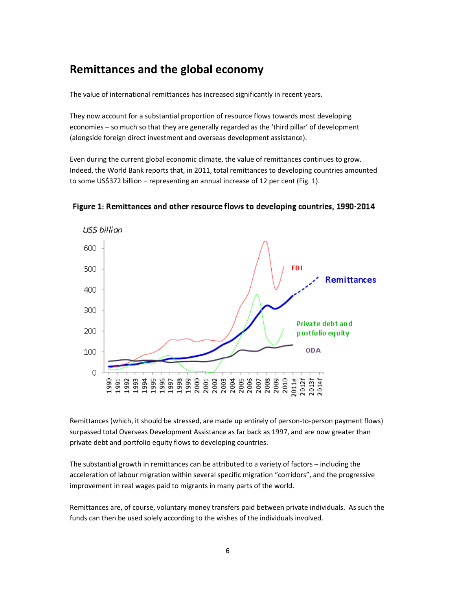## **Remittances and the global economy**

The value of international remittances has increased significantly in recent years.

They now account for a substantial proportion of resource flows towards most developing economies – so much so that they are generally regarded as the 'third pillar' of development (alongside foreign direct investment and overseas development assistance).

Even during the current global economic climate, the value of remittances continues to grow. Indeed, the World Bank reports that, in 2011, total remittances to developing countries amounted to some US\$372 billion – representing an annual increase of 12 per cent (Fig. 1).



Figure 1: Remittances and other resource flows to developing countries, 1990-2014

Remittances (which, it should be stressed, are made up entirely of person-to-person payment flows) surpassed total Overseas Development Assistance as far back as 1997, and are now greater than private debt and portfolio equity flows to developing countries.

The substantial growth in remittances can be attributed to a variety of factors – including the acceleration of labour migration within several specific migration "corridors", and the progressive improvement in real wages paid to migrants in many parts of the world.

Remittances are, of course, voluntary money transfers paid between private individuals. As such the funds can then be used solely according to the wishes of the individuals involved.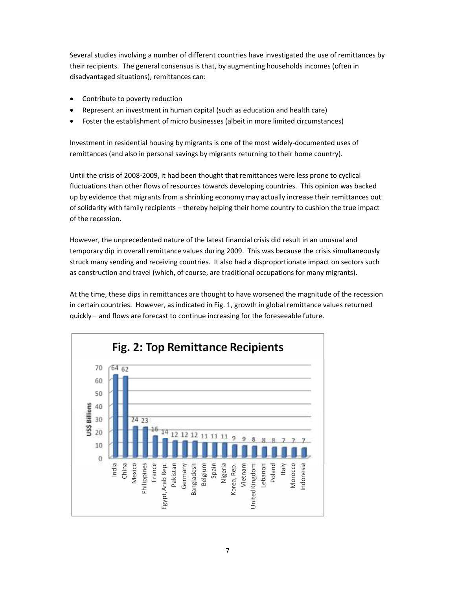Several studies involving a number of different countries have investigated the use of remittances by their recipients. The general consensus is that, by augmenting households incomes (often in disadvantaged situations), remittances can:

- Contribute to poverty reduction
- Represent an investment in human capital (such as education and health care)
- Foster the establishment of micro businesses (albeit in more limited circumstances)

Investment in residential housing by migrants is one of the most widely-documented uses of remittances (and also in personal savings by migrants returning to their home country).

Until the crisis of 2008-2009, it had been thought that remittances were less prone to cyclical fluctuations than other flows of resources towards developing countries. This opinion was backed up by evidence that migrants from a shrinking economy may actually increase their remittances out of solidarity with family recipients – thereby helping their home country to cushion the true impact of the recession.

However, the unprecedented nature of the latest financial crisis did result in an unusual and temporary dip in overall remittance values during 2009. This was because the crisis simultaneously struck many sending and receiving countries. It also had a disproportionate impact on sectors such as construction and travel (which, of course, are traditional occupations for many migrants).

At the time, these dips in remittances are thought to have worsened the magnitude of the recession in certain countries. However, as indicated in Fig. 1, growth in global remittance values returned quickly – and flows are forecast to continue increasing for the foreseeable future.

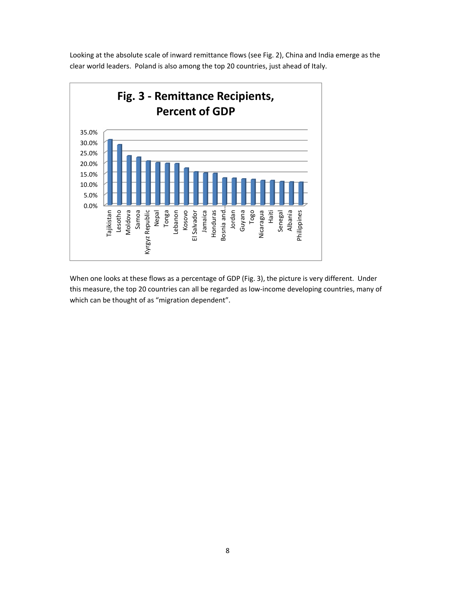Looking at the absolute scale of inward remittance flows (see Fig. 2), China and India emerge as the clear world leaders. Poland is also among the top 20 countries, just ahead of Italy.



When one looks at these flows as a percentage of GDP (Fig. 3), the picture is very different. Under this measure, the top 20 countries can all be regarded as low-income developing countries, many of which can be thought of as "migration dependent".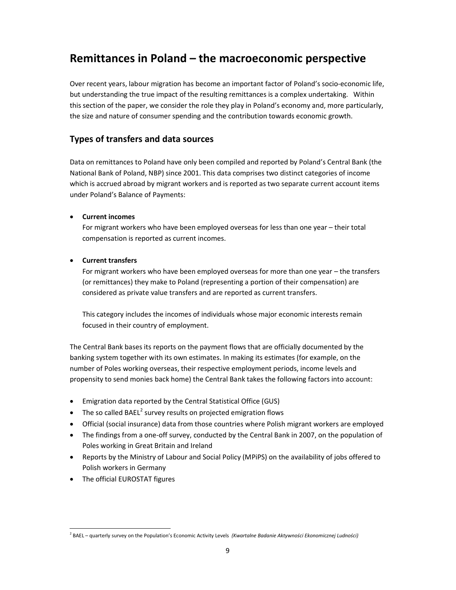## **Remittances in Poland – the macroeconomic perspective**

Over recent years, labour migration has become an important factor of Poland's socio-economic life, but understanding the true impact of the resulting remittances is a complex undertaking. Within this section of the paper, we consider the role they play in Poland's economy and, more particularly, the size and nature of consumer spending and the contribution towards economic growth.

## **Types of transfers and data sources**

Data on remittances to Poland have only been compiled and reported by Poland's Central Bank (the National Bank of Poland, NBP) since 2001. This data comprises two distinct categories of income which is accrued abroad by migrant workers and is reported as two separate current account items under Poland's Balance of Payments:

#### • **Current incomes**

For migrant workers who have been employed overseas for less than one year – their total compensation is reported as current incomes.

#### • **Current transfers**

For migrant workers who have been employed overseas for more than one year – the transfers (or remittances) they make to Poland (representing a portion of their compensation) are considered as private value transfers and are reported as current transfers.

This category includes the incomes of individuals whose major economic interests remain focused in their country of employment.

The Central Bank bases its reports on the payment flows that are officially documented by the banking system together with its own estimates. In making its estimates (for example, on the number of Poles working overseas, their respective employment periods, income levels and propensity to send monies back home) the Central Bank takes the following factors into account:

- Emigration data reported by the Central Statistical Office (GUS)
- The so called BAEL<sup>2</sup> survey results on projected emigration flows
- Official (social insurance) data from those countries where Polish migrant workers are employed
- The findings from a one-off survey, conducted by the Central Bank in 2007, on the population of Poles working in Great Britain and Ireland
- Reports by the Ministry of Labour and Social Policy (MPiPS) on the availability of jobs offered to Polish workers in Germany
- The official EUROSTAT figures

 $\overline{a}$ 

<sup>2</sup> BAEL – quarterly survey on the Population's Economic Activity Levels *(Kwartalne Badanie Aktywności Ekonomicznej Ludności)*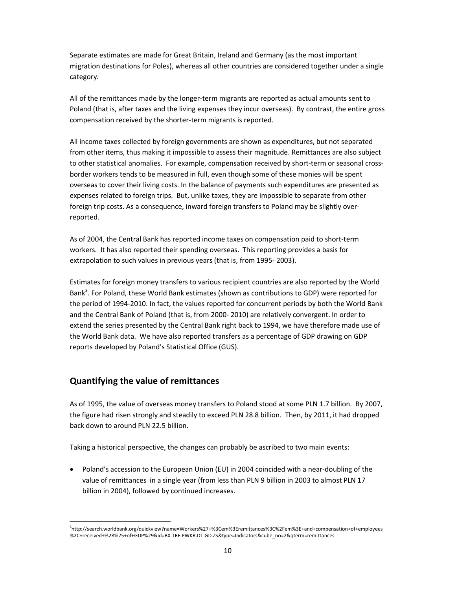Separate estimates are made for Great Britain, Ireland and Germany (as the most important migration destinations for Poles), whereas all other countries are considered together under a single category.

All of the remittances made by the longer-term migrants are reported as actual amounts sent to Poland (that is, after taxes and the living expenses they incur overseas). By contrast, the entire gross compensation received by the shorter-term migrants is reported.

All income taxes collected by foreign governments are shown as expenditures, but not separated from other items, thus making it impossible to assess their magnitude. Remittances are also subject to other statistical anomalies. For example, compensation received by short-term or seasonal crossborder workers tends to be measured in full, even though some of these monies will be spent overseas to cover their living costs. In the balance of payments such expenditures are presented as expenses related to foreign trips. But, unlike taxes, they are impossible to separate from other foreign trip costs. As a consequence, inward foreign transfers to Poland may be slightly overreported.

As of 2004, the Central Bank has reported income taxes on compensation paid to short-term workers. It has also reported their spending overseas. This reporting provides a basis for extrapolation to such values in previous years (that is, from 1995- 2003).

Estimates for foreign money transfers to various recipient countries are also reported by the World Bank<sup>3</sup>. For Poland, these World Bank estimates (shown as contributions to GDP) were reported for the period of 1994-2010. In fact, the values reported for concurrent periods by both the World Bank and the Central Bank of Poland (that is, from 2000- 2010) are relatively convergent. In order to extend the series presented by the Central Bank right back to 1994, we have therefore made use of the World Bank data. We have also reported transfers as a percentage of GDP drawing on GDP reports developed by Poland's Statistical Office (GUS).

## **Quantifying the value of remittances**

l

As of 1995, the value of overseas money transfers to Poland stood at some PLN 1.7 billion. By 2007, the figure had risen strongly and steadily to exceed PLN 28.8 billion. Then, by 2011, it had dropped back down to around PLN 22.5 billion.

Taking a historical perspective, the changes can probably be ascribed to two main events:

• Poland's accession to the European Union (EU) in 2004 coincided with a near-doubling of the value of remittances in a single year (from less than PLN 9 billion in 2003 to almost PLN 17 billion in 2004), followed by continued increases.

<sup>3</sup> http://search.worldbank.org/quickview?name=Workers%27+%3Cem%3Eremittances%3C%2Fem%3E+and+compensation+of+employees %2C+received+%28%25+of+GDP%29&id=BX.TRF.PWKR.DT.GD.ZS&type=Indicators&cube\_no=2&qterm=remittances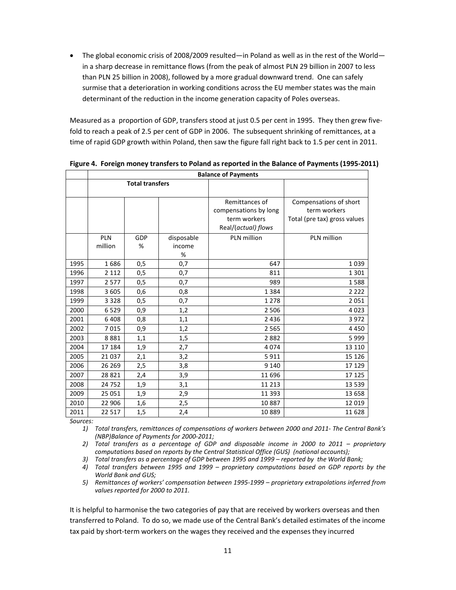• The global economic crisis of 2008/2009 resulted—in Poland as well as in the rest of the World in a sharp decrease in remittance flows (from the peak of almost PLN 29 billion in 2007 to less than PLN 25 billion in 2008), followed by a more gradual downward trend. One can safely surmise that a deterioration in working conditions across the EU member states was the main determinant of the reduction in the income generation capacity of Poles overseas.

Measured as a proportion of GDP, transfers stood at just 0.5 per cent in 1995. They then grew fivefold to reach a peak of 2.5 per cent of GDP in 2006. The subsequent shrinking of remittances, at a time of rapid GDP growth within Poland, then saw the figure fall right back to 1.5 per cent in 2011.

|      | <b>Balance of Payments</b> |                        |            |                       |                              |  |  |  |
|------|----------------------------|------------------------|------------|-----------------------|------------------------------|--|--|--|
|      |                            | <b>Total transfers</b> |            |                       |                              |  |  |  |
|      |                            |                        |            |                       |                              |  |  |  |
|      |                            |                        |            | Remittances of        | Compensations of short       |  |  |  |
|      |                            |                        |            | compensations by long | term workers                 |  |  |  |
|      |                            |                        |            | term workers          | Total (pre tax) gross values |  |  |  |
|      |                            |                        |            | Real/(actual) flows   |                              |  |  |  |
|      | <b>PLN</b>                 | <b>GDP</b>             | disposable | PLN million           | PLN million                  |  |  |  |
|      | million                    | %                      | income     |                       |                              |  |  |  |
|      |                            |                        | %          |                       |                              |  |  |  |
| 1995 | 1686                       | 0,5                    | 0,7        | 647                   | 1039                         |  |  |  |
| 1996 | 2 1 1 2                    | 0,5                    | 0,7        | 811                   | 1301                         |  |  |  |
| 1997 | 2577                       | 0,5                    | 0,7        | 989                   | 1588                         |  |  |  |
| 1998 | 3 6 0 5                    | 0,6                    | 0,8        | 1 3 8 4               | 2 2 2 2                      |  |  |  |
| 1999 | 3 3 2 8                    | 0,5                    | 0,7        | 1 2 7 8               | 2051                         |  |  |  |
| 2000 | 6529                       | 0,9                    | 1,2        | 2 5 0 6               | 4023                         |  |  |  |
| 2001 | 6408                       | 0,8                    | 1,1        | 2 4 3 6               | 3972                         |  |  |  |
| 2002 | 7015                       | 0,9                    | 1,2        | 2 5 6 5               | 4450                         |  |  |  |
| 2003 | 8881                       | 1,1                    | 1,5        | 2882                  | 5999                         |  |  |  |
| 2004 | 17 184                     | 1,9                    | 2,7        | 4074                  | 13 1 10                      |  |  |  |
| 2005 | 21 0 37                    | 2,1                    | 3,2        | 5911                  | 15 1 26                      |  |  |  |
| 2006 | 26 269                     | 2,5                    | 3,8        | 9 1 4 0               | 17 129                       |  |  |  |
| 2007 | 28 8 21                    | 2,4                    | 3,9        | 11 696                | 17 125                       |  |  |  |
| 2008 | 24 752                     | 1,9                    | 3,1        | 11 213                | 13 5 39                      |  |  |  |
| 2009 | 25 051                     | 1,9                    | 2,9        | 11 393                | 13 658                       |  |  |  |
| 2010 | 22 906                     | 1,6                    | 2,5        | 10887                 | 12 0 19                      |  |  |  |
| 2011 | 22 517                     | 1,5                    | 2,4        | 10 889                | 11 6 28                      |  |  |  |

**Figure 4. Foreign money transfers to Poland as reported in the Balance of Payments (1995-2011)** 

*Sources:* 

*1) Total transfers, remittances of compensations of workers between 2000 and 2011- The Central Bank's (NBP)Balance of Payments for 2000-2011;* 

*2) Total transfers as a percentage of GDP and disposable income in 2000 to 2011 – proprietary computations based on reports by the Central Statistical Office (GUS) (national accounts);* 

*3) Total transfers as a percentage of GDP between 1995 and 1999 – reported by the World Bank;* 

*4) Total transfers between 1995 and 1999 – proprietary computations based on GDP reports by the World Bank and GUS;* 

*5) Remittances of workers' compensation between 1995-1999 – proprietary extrapolations inferred from values reported for 2000 to 2011.* 

It is helpful to harmonise the two categories of pay that are received by workers overseas and then transferred to Poland. To do so, we made use of the Central Bank's detailed estimates of the income tax paid by short-term workers on the wages they received and the expenses they incurred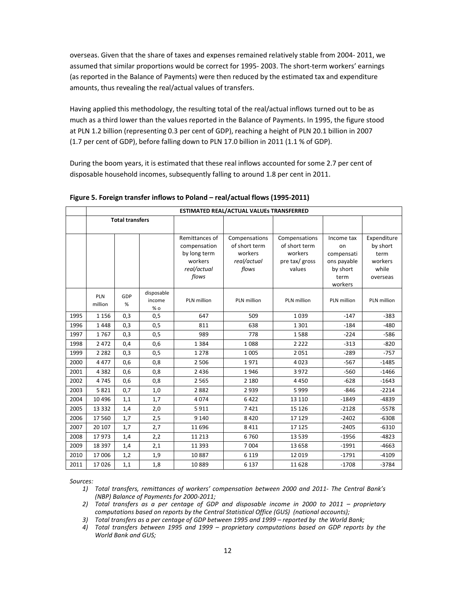overseas. Given that the share of taxes and expenses remained relatively stable from 2004- 2011, we assumed that similar proportions would be correct for 1995- 2003. The short-term workers' earnings (as reported in the Balance of Payments) were then reduced by the estimated tax and expenditure amounts, thus revealing the real/actual values of transfers.

Having applied this methodology, the resulting total of the real/actual inflows turned out to be as much as a third lower than the values reported in the Balance of Payments. In 1995, the figure stood at PLN 1.2 billion (representing 0.3 per cent of GDP), reaching a height of PLN 20.1 billion in 2007 (1.7 per cent of GDP), before falling down to PLN 17.0 billion in 2011 (1.1 % of GDP).

During the boom years, it is estimated that these real inflows accounted for some 2.7 per cent of disposable household incomes, subsequently falling to around 1.8 per cent in 2011.

|      | <b>ESTIMATED REAL/ACTUAL VALUES TRANSFERRED</b> |          |                                                                                   |                                                                   |                                                                       |                                                                              |                                                                 |             |  |
|------|-------------------------------------------------|----------|-----------------------------------------------------------------------------------|-------------------------------------------------------------------|-----------------------------------------------------------------------|------------------------------------------------------------------------------|-----------------------------------------------------------------|-------------|--|
|      | <b>Total transfers</b>                          |          |                                                                                   |                                                                   |                                                                       |                                                                              |                                                                 |             |  |
|      |                                                 |          | Remittances of<br>compensation<br>by long term<br>workers<br>real/actual<br>flows | Compensations<br>of short term<br>workers<br>real/actual<br>flows | Compensations<br>of short term<br>workers<br>pre tax/ gross<br>values | Income tax<br>on<br>compensati<br>ons payable<br>by short<br>term<br>workers | Expenditure<br>by short<br>term<br>workers<br>while<br>overseas |             |  |
|      | PLN<br>million                                  | GDP<br>% | disposable<br>income<br>$%$ 0                                                     | PLN million                                                       | PLN million                                                           | PLN million                                                                  | PLN million                                                     | PLN million |  |
| 1995 | 1 1 5 6                                         | 0,3      | 0,5                                                                               | 647                                                               | 509                                                                   | 1039                                                                         | $-147$                                                          | $-383$      |  |
| 1996 | 1448                                            | 0,3      | 0,5                                                                               | 811                                                               | 638                                                                   | 1 3 0 1                                                                      | $-184$                                                          | $-480$      |  |
| 1997 | 1767                                            | 0,3      | 0,5                                                                               | 989                                                               | 778                                                                   | 1588                                                                         | $-224$                                                          | $-586$      |  |
| 1998 | 2 4 7 2                                         | 0,4      | 0,6                                                                               | 1384                                                              | 1088                                                                  | 2 2 2 2                                                                      | $-313$                                                          | $-820$      |  |
| 1999 | 2 2 8 2                                         | 0,3      | 0,5                                                                               | 1 2 7 8                                                           | 1005                                                                  | 2051                                                                         | $-289$                                                          | $-757$      |  |
| 2000 | 4 4 7 7                                         | 0,6      | 0,8                                                                               | 2 5 0 6                                                           | 1971                                                                  | 4023                                                                         | $-567$                                                          | $-1485$     |  |
| 2001 | 4 3 8 2                                         | 0,6      | 0,8                                                                               | 2 4 3 6                                                           | 1946                                                                  | 3972                                                                         | $-560$                                                          | $-1466$     |  |
| 2002 | 4745                                            | 0,6      | 0,8                                                                               | 2 5 6 5                                                           | 2 1 8 0                                                               | 4450                                                                         | $-628$                                                          | $-1643$     |  |
| 2003 | 5821                                            | 0,7      | 1,0                                                                               | 2882                                                              | 2939                                                                  | 5999                                                                         | $-846$                                                          | $-2214$     |  |
| 2004 | 10 4 9 6                                        | 1,1      | 1,7                                                                               | 4 0 7 4                                                           | 6422                                                                  | 13 1 10                                                                      | $-1849$                                                         | $-4839$     |  |
| 2005 | 13 3 3 2                                        | 1,4      | 2,0                                                                               | 5911                                                              | 7421                                                                  | 15 1 26                                                                      | $-2128$                                                         | $-5578$     |  |
| 2006 | 17 560                                          | 1,7      | 2,5                                                                               | 9 1 4 0                                                           | 8420                                                                  | 17 129                                                                       | $-2402$                                                         | $-6308$     |  |
| 2007 | 20 10 7                                         | 1,7      | 2,7                                                                               | 11 696                                                            | 8 4 1 1                                                               | 17 125                                                                       | $-2405$                                                         | $-6310$     |  |
| 2008 | 17973                                           | 1,4      | 2,2                                                                               | 11 2 13                                                           | 6760                                                                  | 13 5 39                                                                      | $-1956$                                                         | $-4823$     |  |
| 2009 | 18 3 9 7                                        | 1,4      | 2,1                                                                               | 11 3 9 3                                                          | 7 0 0 4                                                               | 13 6 58                                                                      | $-1991$                                                         | $-4663$     |  |
| 2010 | 17 006                                          | 1,2      | 1,9                                                                               | 10887                                                             | 6 1 1 9                                                               | 12 0 19                                                                      | $-1791$                                                         | $-4109$     |  |
| 2011 | 17026                                           | 1,1      | 1,8                                                                               | 10889                                                             | 6 1 3 7                                                               | 11628                                                                        | $-1708$                                                         | $-3784$     |  |

**Figure 5. Foreign transfer inflows to Poland – real/actual flows (1995-2011)** 

*Sources:* 

- *1) Total transfers, remittances of workers' compensation between 2000 and 2011- The Central Bank's (NBP) Balance of Payments for 2000-2011;*
- *2) Total transfers as a per centage of GDP and disposable income in 2000 to 2011 proprietary computations based on reports by the Central Statistical Office (GUS) (national accounts);*
- *3) Total transfers as a per centage of GDP between 1995 and 1999 reported by the World Bank;*
- *4) Total transfers between 1995 and 1999 proprietary computations based on GDP reports by the World Bank and GUS;*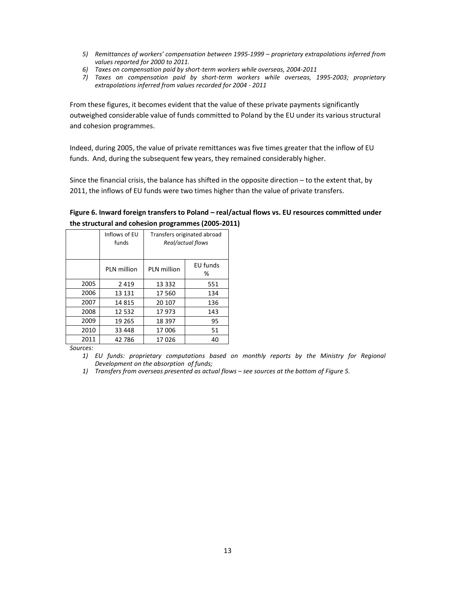- *5) Remittances of workers' compensation between 1995-1999 proprietary extrapolations inferred from values reported for 2000 to 2011.*
- *6) Taxes on compensation paid by short-term workers while overseas, 2004-2011*
- *7) Taxes on compensation paid by short-term workers while overseas, 1995-2003; proprietary extrapolations inferred from values recorded for 2004 - 2011*

From these figures, it becomes evident that the value of these private payments significantly outweighed considerable value of funds committed to Poland by the EU under its various structural and cohesion programmes.

Indeed, during 2005, the value of private remittances was five times greater that the inflow of EU funds. And, during the subsequent few years, they remained considerably higher.

Since the financial crisis, the balance has shifted in the opposite direction – to the extent that, by 2011, the inflows of EU funds were two times higher than the value of private transfers.

|      | Inflows of EU<br>funds | Transfers originated abroad<br>Real/actual flows |               |  |
|------|------------------------|--------------------------------------------------|---------------|--|
|      | PLN million            | PLN million                                      | EU funds<br>% |  |
| 2005 | 2419                   | 13 3 32                                          | 551           |  |
| 2006 | 13 131                 | 17 560                                           | 134           |  |
| 2007 | 14815                  | 20 107                                           | 136           |  |
| 2008 | 12 5 32                | 17973                                            | 143           |  |
| 2009 | 19 265                 | 18 3 9 7                                         | 95            |  |
| 2010 | 33 448                 | 17 006                                           | 51            |  |
| 2011 | 42 786                 | 17026                                            | 40            |  |

#### **Figure 6. Inward foreign transfers to Poland – real/actual flows vs. EU resources committed under the structural and cohesion programmes (2005-2011)**

*Sources:* 

- *1) EU funds: proprietary computations based on monthly reports by the Ministry for Regional Development on the absorption of funds;*
- *1) Transfers from overseas presented as actual flows see sources at the bottom of Figure 5.*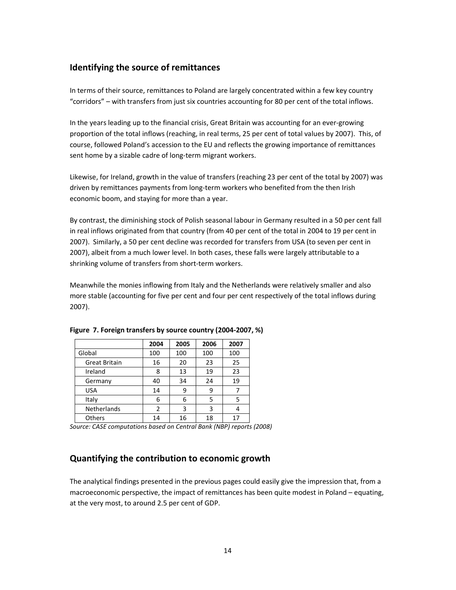## **Identifying the source of remittances**

In terms of their source, remittances to Poland are largely concentrated within a few key country "corridors" – with transfers from just six countries accounting for 80 per cent of the total inflows.

In the years leading up to the financial crisis, Great Britain was accounting for an ever-growing proportion of the total inflows (reaching, in real terms, 25 per cent of total values by 2007). This, of course, followed Poland's accession to the EU and reflects the growing importance of remittances sent home by a sizable cadre of long-term migrant workers.

Likewise, for Ireland, growth in the value of transfers (reaching 23 per cent of the total by 2007) was driven by remittances payments from long-term workers who benefited from the then Irish economic boom, and staying for more than a year.

By contrast, the diminishing stock of Polish seasonal labour in Germany resulted in a 50 per cent fall in real inflows originated from that country (from 40 per cent of the total in 2004 to 19 per cent in 2007). Similarly, a 50 per cent decline was recorded for transfers from USA (to seven per cent in 2007), albeit from a much lower level. In both cases, these falls were largely attributable to a shrinking volume of transfers from short-term workers.

Meanwhile the monies inflowing from Italy and the Netherlands were relatively smaller and also more stable (accounting for five per cent and four per cent respectively of the total inflows during 2007).

|                      | 2004 | 2005 | 2006 | 2007 |
|----------------------|------|------|------|------|
| Global               | 100  | 100  | 100  | 100  |
| <b>Great Britain</b> | 16   | 20   | 23   | 25   |
| Ireland              | 8    | 13   | 19   | 23   |
| Germany              | 40   | 34   | 24   | 19   |
| <b>USA</b>           | 14   | 9    | 9    |      |
| Italy                | 6    | 6    | 5    | 5    |
| Netherlands          | 2    | 3    | 3    |      |
| Others               | 14   | 16   | 18   | 17   |

**Figure 7. Foreign transfers by source country (2004-2007, %)** 

*Source: CASE computations based on Central Bank (NBP) reports (2008)* 

### **Quantifying the contribution to economic growth**

The analytical findings presented in the previous pages could easily give the impression that, from a macroeconomic perspective, the impact of remittances has been quite modest in Poland – equating, at the very most, to around 2.5 per cent of GDP.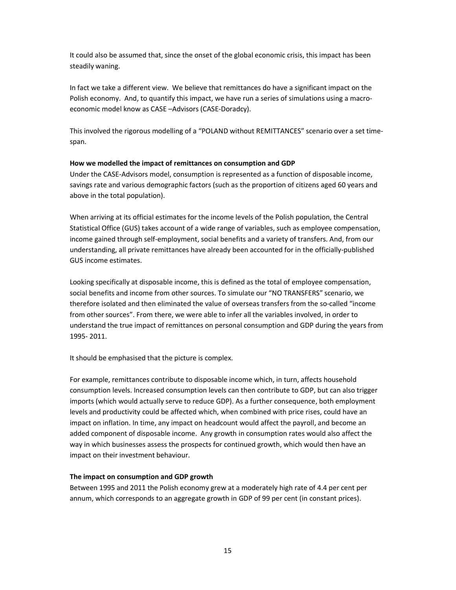It could also be assumed that, since the onset of the global economic crisis, this impact has been steadily waning.

In fact we take a different view. We believe that remittances do have a significant impact on the Polish economy. And, to quantify this impact, we have run a series of simulations using a macroeconomic model know as CASE –Advisors (CASE-Doradcy).

This involved the rigorous modelling of a "POLAND without REMITTANCES" scenario over a set timespan.

#### **How we modelled the impact of remittances on consumption and GDP**

Under the CASE-Advisors model, consumption is represented as a function of disposable income, savings rate and various demographic factors (such as the proportion of citizens aged 60 years and above in the total population).

When arriving at its official estimates for the income levels of the Polish population, the Central Statistical Office (GUS) takes account of a wide range of variables, such as employee compensation, income gained through self-employment, social benefits and a variety of transfers. And, from our understanding, all private remittances have already been accounted for in the officially-published GUS income estimates.

Looking specifically at disposable income, this is defined as the total of employee compensation, social benefits and income from other sources. To simulate our "NO TRANSFERS" scenario, we therefore isolated and then eliminated the value of overseas transfers from the so-called "income from other sources". From there, we were able to infer all the variables involved, in order to understand the true impact of remittances on personal consumption and GDP during the years from 1995- 2011.

It should be emphasised that the picture is complex.

For example, remittances contribute to disposable income which, in turn, affects household consumption levels. Increased consumption levels can then contribute to GDP, but can also trigger imports (which would actually serve to reduce GDP). As a further consequence, both employment levels and productivity could be affected which, when combined with price rises, could have an impact on inflation. In time, any impact on headcount would affect the payroll, and become an added component of disposable income. Any growth in consumption rates would also affect the way in which businesses assess the prospects for continued growth, which would then have an impact on their investment behaviour.

#### **The impact on consumption and GDP growth**

Between 1995 and 2011 the Polish economy grew at a moderately high rate of 4.4 per cent per annum, which corresponds to an aggregate growth in GDP of 99 per cent (in constant prices).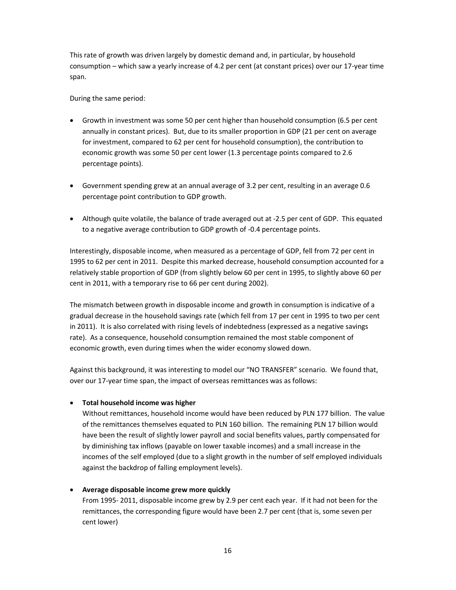This rate of growth was driven largely by domestic demand and, in particular, by household consumption – which saw a yearly increase of 4.2 per cent (at constant prices) over our 17-year time span.

During the same period:

- Growth in investment was some 50 per cent higher than household consumption (6.5 per cent annually in constant prices). But, due to its smaller proportion in GDP (21 per cent on average for investment, compared to 62 per cent for household consumption), the contribution to economic growth was some 50 per cent lower (1.3 percentage points compared to 2.6 percentage points).
- Government spending grew at an annual average of 3.2 per cent, resulting in an average 0.6 percentage point contribution to GDP growth.
- Although quite volatile, the balance of trade averaged out at -2.5 per cent of GDP. This equated to a negative average contribution to GDP growth of -0.4 percentage points.

Interestingly, disposable income, when measured as a percentage of GDP, fell from 72 per cent in 1995 to 62 per cent in 2011. Despite this marked decrease, household consumption accounted for a relatively stable proportion of GDP (from slightly below 60 per cent in 1995, to slightly above 60 per cent in 2011, with a temporary rise to 66 per cent during 2002).

The mismatch between growth in disposable income and growth in consumption is indicative of a gradual decrease in the household savings rate (which fell from 17 per cent in 1995 to two per cent in 2011). It is also correlated with rising levels of indebtedness (expressed as a negative savings rate). As a consequence, household consumption remained the most stable component of economic growth, even during times when the wider economy slowed down.

Against this background, it was interesting to model our "NO TRANSFER" scenario. We found that, over our 17-year time span, the impact of overseas remittances was as follows:

#### • **Total household income was higher**

Without remittances, household income would have been reduced by PLN 177 billion. The value of the remittances themselves equated to PLN 160 billion. The remaining PLN 17 billion would have been the result of slightly lower payroll and social benefits values, partly compensated for by diminishing tax inflows (payable on lower taxable incomes) and a small increase in the incomes of the self employed (due to a slight growth in the number of self employed individuals against the backdrop of falling employment levels).

#### • **Average disposable income grew more quickly**

From 1995- 2011, disposable income grew by 2.9 per cent each year. If it had not been for the remittances, the corresponding figure would have been 2.7 per cent (that is, some seven per cent lower)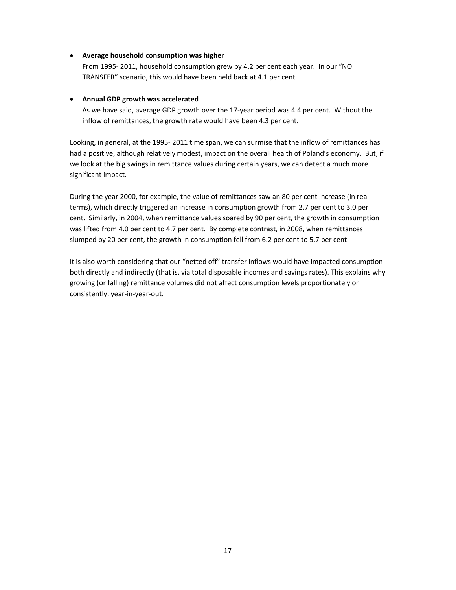#### • **Average household consumption was higher**

From 1995- 2011, household consumption grew by 4.2 per cent each year. In our "NO TRANSFER" scenario, this would have been held back at 4.1 per cent

#### • **Annual GDP growth was accelerated**

As we have said, average GDP growth over the 17-year period was 4.4 per cent. Without the inflow of remittances, the growth rate would have been 4.3 per cent.

Looking, in general, at the 1995- 2011 time span, we can surmise that the inflow of remittances has had a positive, although relatively modest, impact on the overall health of Poland's economy. But, if we look at the big swings in remittance values during certain years, we can detect a much more significant impact.

During the year 2000, for example, the value of remittances saw an 80 per cent increase (in real terms), which directly triggered an increase in consumption growth from 2.7 per cent to 3.0 per cent. Similarly, in 2004, when remittance values soared by 90 per cent, the growth in consumption was lifted from 4.0 per cent to 4.7 per cent. By complete contrast, in 2008, when remittances slumped by 20 per cent, the growth in consumption fell from 6.2 per cent to 5.7 per cent.

It is also worth considering that our "netted off" transfer inflows would have impacted consumption both directly and indirectly (that is, via total disposable incomes and savings rates). This explains why growing (or falling) remittance volumes did not affect consumption levels proportionately or consistently, year-in-year-out.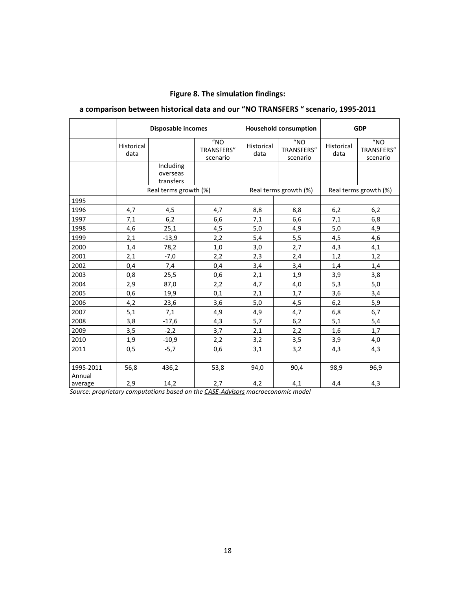## **Figure 8. The simulation findings:**

## **a comparison between historical data and our "NO TRANSFERS " scenario, 1995-2011**

|                                   | Disposable incomes |                                    |                                                | <b>Household consumption</b> |                                                | <b>GDP</b>            |                                                |
|-----------------------------------|--------------------|------------------------------------|------------------------------------------------|------------------------------|------------------------------------------------|-----------------------|------------------------------------------------|
|                                   | Historical<br>data |                                    | $^{\prime\prime}$ NO<br>TRANSFERS"<br>scenario | Historical<br>data           | $^{\prime\prime}$ NO<br>TRANSFERS"<br>scenario | Historical<br>data    | $^{\prime\prime}$ NO<br>TRANSFERS"<br>scenario |
|                                   |                    | Including<br>overseas<br>transfers |                                                |                              |                                                |                       |                                                |
|                                   |                    | Real terms growth (%)              |                                                | Real terms growth (%)        |                                                | Real terms growth (%) |                                                |
| 1995                              |                    |                                    |                                                |                              |                                                |                       |                                                |
| 1996                              | 4,7                | 4,5                                | 4,7                                            | 8,8                          | 8,8                                            | 6,2                   | 6,2                                            |
| 1997                              | 7,1                | 6,2                                | 6,6                                            | 7,1                          | 6,6                                            | 7,1                   | 6,8                                            |
| 1998                              | 4,6                | 25,1                               | 4,5                                            | 5,0                          | 4,9                                            | 5,0                   | 4,9                                            |
| 1999                              | 2,1                | $-13,9$                            | 2,2                                            | 5,4                          | 5,5                                            | 4,5                   | 4,6                                            |
| 2000                              | 1,4                | 78,2                               | 1,0                                            | 3,0                          | 2,7                                            | 4,3                   | 4,1                                            |
| 2001                              | 2,1                | $-7,0$                             | 2,2                                            | 2,3                          | 2,4                                            | 1,2                   | 1,2                                            |
| 2002                              | 0,4                | 7,4                                | 0,4                                            | 3,4                          | 3,4                                            | 1,4                   | 1,4                                            |
| 2003                              | 0,8                | 25,5                               | 0,6                                            | 2,1                          | 1,9                                            | 3,9                   | 3,8                                            |
| 2004                              | 2,9                | 87,0                               | 2,2                                            | 4,7                          | 4,0                                            | 5,3                   | 5,0                                            |
| 2005                              | 0,6                | 19,9                               | 0,1                                            | 2,1                          | 1,7                                            | 3,6                   | 3,4                                            |
| 2006                              | 4,2                | 23,6                               | 3,6                                            | 5,0                          | 4,5                                            | 6,2                   | 5,9                                            |
| 2007                              | 5,1                | 7,1                                | 4,9                                            | 4,9                          | 4,7                                            | 6,8                   | 6,7                                            |
| 2008                              | 3,8                | $-17,6$                            | 4,3                                            | 5,7                          | 6,2                                            | 5,1                   | 5,4                                            |
| 2009                              | 3,5                | $-2,2$                             | 3,7                                            | 2,1                          | 2,2                                            | 1,6                   | 1,7                                            |
| 2010                              | 1,9                | $-10,9$                            | 2,2                                            | 3,2                          | 3,5                                            | 3,9                   | 4,0                                            |
| 2011                              | 0,5                | $-5,7$                             | 0,6                                            | 3,1                          | 3,2                                            | 4,3                   | 4,3                                            |
| 1995-2011                         | 56,8               | 436,2                              | 53,8                                           | 94,0                         | 90,4                                           | 98,9                  | 96,9                                           |
| Annual<br>average<br>$\mathbf{r}$ | 2,9                | 14,2                               | 2,7<br>$-1 - 1$                                | 4,2                          | 4,1<br>$-1-1$                                  | 4,4                   | 4,3                                            |

*Source: proprietary computations based on the CASE-Advisors macroeconomic model*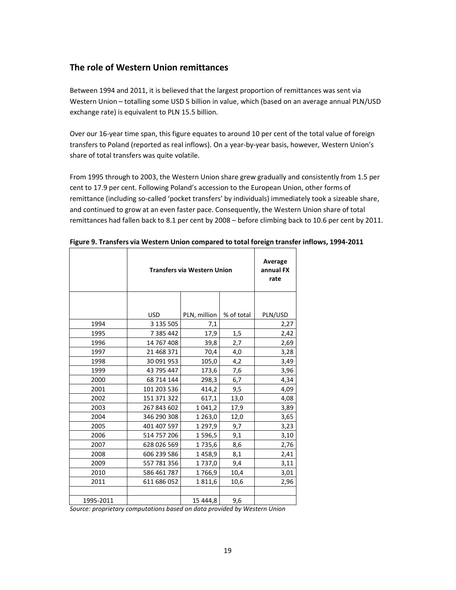## **The role of Western Union remittances**

Between 1994 and 2011, it is believed that the largest proportion of remittances was sent via Western Union – totalling some USD 5 billion in value, which (based on an average annual PLN/USD exchange rate) is equivalent to PLN 15.5 billion.

Over our 16-year time span, this figure equates to around 10 per cent of the total value of foreign transfers to Poland (reported as real inflows). On a year-by-year basis, however, Western Union's share of total transfers was quite volatile.

From 1995 through to 2003, the Western Union share grew gradually and consistently from 1.5 per cent to 17.9 per cent. Following Poland's accession to the European Union, other forms of remittance (including so-called 'pocket transfers' by individuals) immediately took a sizeable share, and continued to grow at an even faster pace. Consequently, the Western Union share of total remittances had fallen back to 8.1 per cent by 2008 – before climbing back to 10.6 per cent by 2011.

|           | <b>Transfers via Western Union</b> | Average<br>annual FX<br>rate |            |         |
|-----------|------------------------------------|------------------------------|------------|---------|
|           |                                    |                              |            |         |
|           | <b>USD</b>                         | PLN, million                 | % of total | PLN/USD |
| 1994      | 3 135 505                          | 7,1                          |            | 2,27    |
| 1995      | 7 3 8 5 4 4 2                      | 17,9                         | 1,5        | 2,42    |
| 1996      | 14 767 408                         | 39,8                         | 2,7        | 2,69    |
| 1997      | 21 468 371                         | 70,4                         | 4,0        | 3,28    |
| 1998      | 30 091 953                         | 105,0                        | 4,2        | 3,49    |
| 1999      | 43 795 447                         | 173,6                        | 7,6        | 3,96    |
| 2000      | 68 714 144                         | 298,3                        | 6,7        | 4,34    |
| 2001      | 101 203 536                        | 414,2                        | 9,5        | 4,09    |
| 2002      | 151 371 322                        | 617,1                        | 13,0       | 4,08    |
| 2003      | 267 843 602                        | 1 041,2                      | 17,9       | 3,89    |
| 2004      | 346 290 308                        | 1 2 6 3 , 0                  | 12,0       | 3,65    |
| 2005      | 401 407 597                        | 1 2 9 7, 9                   | 9,7        | 3,23    |
| 2006      | 514 757 206                        | 1 596,5                      | 9,1        | 3,10    |
| 2007      | 628 026 569                        | 1735,6                       | 8,6        | 2,76    |
| 2008      | 606 239 586                        | 1458,9                       | 8,1        | 2,41    |
| 2009      | 557 781 356                        | 1737,0                       | 9,4        | 3,11    |
| 2010      | 586 461 787                        | 1766,9                       | 10,4       | 3,01    |
| 2011      | 611 686 052                        | 1811,6                       | 10,6       | 2,96    |
|           |                                    |                              |            |         |
| 1995-2011 |                                    | 15 444,8                     | 9,6        |         |

**Figure 9. Transfers via Western Union compared to total foreign transfer inflows, 1994-2011** 

*Source: proprietary computations based on data provided by Western Union*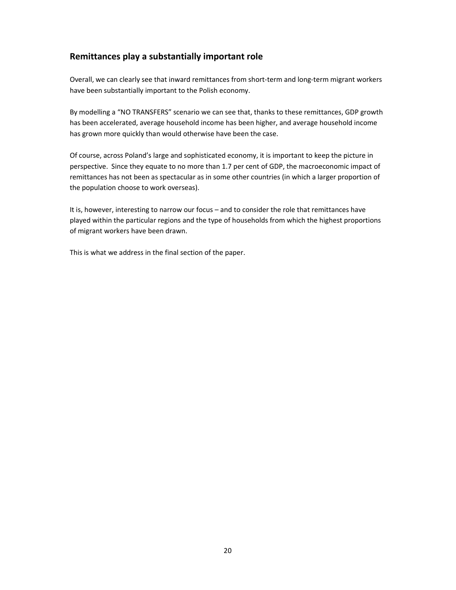## **Remittances play a substantially important role**

Overall, we can clearly see that inward remittances from short-term and long-term migrant workers have been substantially important to the Polish economy.

By modelling a "NO TRANSFERS" scenario we can see that, thanks to these remittances, GDP growth has been accelerated, average household income has been higher, and average household income has grown more quickly than would otherwise have been the case.

Of course, across Poland's large and sophisticated economy, it is important to keep the picture in perspective. Since they equate to no more than 1.7 per cent of GDP, the macroeconomic impact of remittances has not been as spectacular as in some other countries (in which a larger proportion of the population choose to work overseas).

It is, however, interesting to narrow our focus – and to consider the role that remittances have played within the particular regions and the type of households from which the highest proportions of migrant workers have been drawn.

This is what we address in the final section of the paper.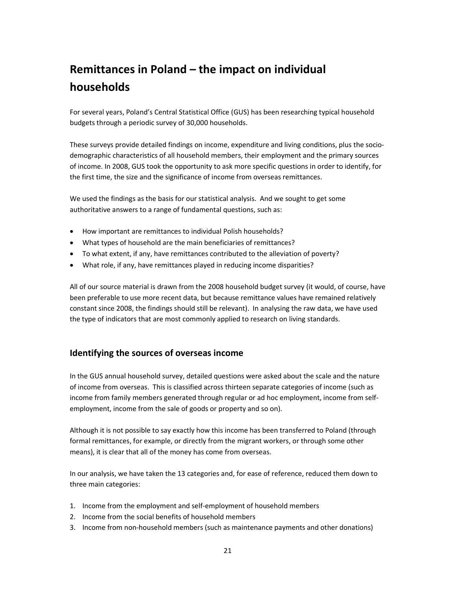# **Remittances in Poland – the impact on individual households**

For several years, Poland's Central Statistical Office (GUS) has been researching typical household budgets through a periodic survey of 30,000 households.

These surveys provide detailed findings on income, expenditure and living conditions, plus the sociodemographic characteristics of all household members, their employment and the primary sources of income. In 2008, GUS took the opportunity to ask more specific questions in order to identify, for the first time, the size and the significance of income from overseas remittances.

We used the findings as the basis for our statistical analysis. And we sought to get some authoritative answers to a range of fundamental questions, such as:

- How important are remittances to individual Polish households?
- What types of household are the main beneficiaries of remittances?
- To what extent, if any, have remittances contributed to the alleviation of poverty?
- What role, if any, have remittances played in reducing income disparities?

All of our source material is drawn from the 2008 household budget survey (it would, of course, have been preferable to use more recent data, but because remittance values have remained relatively constant since 2008, the findings should still be relevant). In analysing the raw data, we have used the type of indicators that are most commonly applied to research on living standards.

## **Identifying the sources of overseas income**

In the GUS annual household survey, detailed questions were asked about the scale and the nature of income from overseas. This is classified across thirteen separate categories of income (such as income from family members generated through regular or ad hoc employment, income from selfemployment, income from the sale of goods or property and so on).

Although it is not possible to say exactly how this income has been transferred to Poland (through formal remittances, for example, or directly from the migrant workers, or through some other means), it is clear that all of the money has come from overseas.

In our analysis, we have taken the 13 categories and, for ease of reference, reduced them down to three main categories:

- 1. Income from the employment and self-employment of household members
- 2. Income from the social benefits of household members
- 3. Income from non-household members (such as maintenance payments and other donations)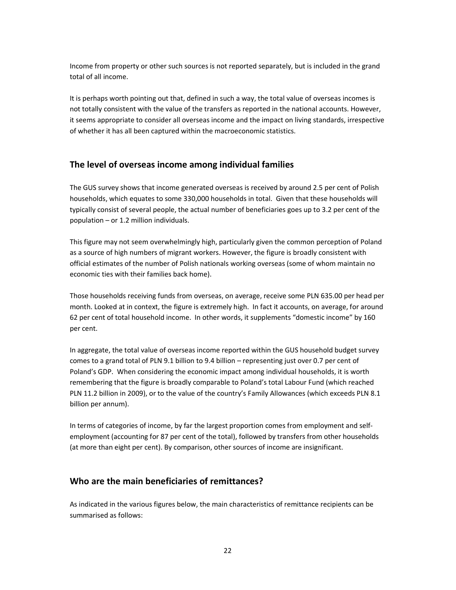Income from property or other such sources is not reported separately, but is included in the grand total of all income.

It is perhaps worth pointing out that, defined in such a way, the total value of overseas incomes is not totally consistent with the value of the transfers as reported in the national accounts. However, it seems appropriate to consider all overseas income and the impact on living standards, irrespective of whether it has all been captured within the macroeconomic statistics.

## **The level of overseas income among individual families**

The GUS survey shows that income generated overseas is received by around 2.5 per cent of Polish households, which equates to some 330,000 households in total. Given that these households will typically consist of several people, the actual number of beneficiaries goes up to 3.2 per cent of the population – or 1.2 million individuals.

This figure may not seem overwhelmingly high, particularly given the common perception of Poland as a source of high numbers of migrant workers. However, the figure is broadly consistent with official estimates of the number of Polish nationals working overseas (some of whom maintain no economic ties with their families back home).

Those households receiving funds from overseas, on average, receive some PLN 635.00 per head per month. Looked at in context, the figure is extremely high. In fact it accounts, on average, for around 62 per cent of total household income. In other words, it supplements "domestic income" by 160 per cent.

In aggregate, the total value of overseas income reported within the GUS household budget survey comes to a grand total of PLN 9.1 billion to 9.4 billion – representing just over 0.7 per cent of Poland's GDP. When considering the economic impact among individual households, it is worth remembering that the figure is broadly comparable to Poland's total Labour Fund (which reached PLN 11.2 billion in 2009), or to the value of the country's Family Allowances (which exceeds PLN 8.1 billion per annum).

In terms of categories of income, by far the largest proportion comes from employment and selfemployment (accounting for 87 per cent of the total), followed by transfers from other households (at more than eight per cent). By comparison, other sources of income are insignificant.

### **Who are the main beneficiaries of remittances?**

As indicated in the various figures below, the main characteristics of remittance recipients can be summarised as follows: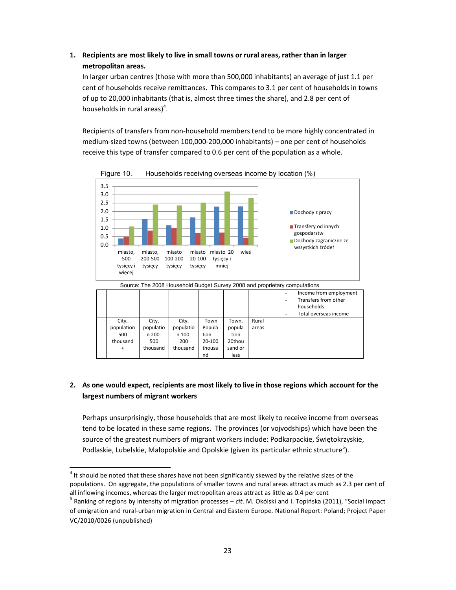## **1. Recipients are most likely to live in small towns or rural areas, rather than in larger metropolitan areas.**

In larger urban centres (those with more than 500,000 inhabitants) an average of just 1.1 per cent of households receive remittances. This compares to 3.1 per cent of households in towns of up to 20,000 inhabitants (that is, almost three times the share), and 2.8 per cent of households in rural areas)<sup>4</sup>.

Recipients of transfers from non-household members tend to be more highly concentrated in medium-sized towns (between 100,000-200,000 inhabitants) – one per cent of households receive this type of transfer compared to 0.6 per cent of the population as a whole.



Figure 10. Households receiving overseas income by location (%)

#### **2. As one would expect, recipients are most likely to live in those regions which account for the largest numbers of migrant workers**

Perhaps unsurprisingly, those households that are most likely to receive income from overseas tend to be located in these same regions. The provinces (or vojvodships) which have been the source of the greatest numbers of migrant workers include: Podkarpackie, Świętokrzyskie, Podlaskie, Lubelskie, Małopolskie and Opolskie (given its particular ethnic structure<sup>5</sup>).

l

 $<sup>4</sup>$  It should be noted that these shares have not been significantly skewed by the relative sizes of the</sup> populations. On aggregate, the populations of smaller towns and rural areas attract as much as 2.3 per cent of all inflowing incomes, whereas the larger metropolitan areas attract as little as 0.4 per cent

<sup>5</sup> Ranking of regions by intensity of migration processes – *cit*. M. Okólski and I. Topińska (2011), "Social impact of emigration and rural-urban migration in Central and Eastern Europe. National Report: Poland; Project Paper VC/2010/0026 (unpublished)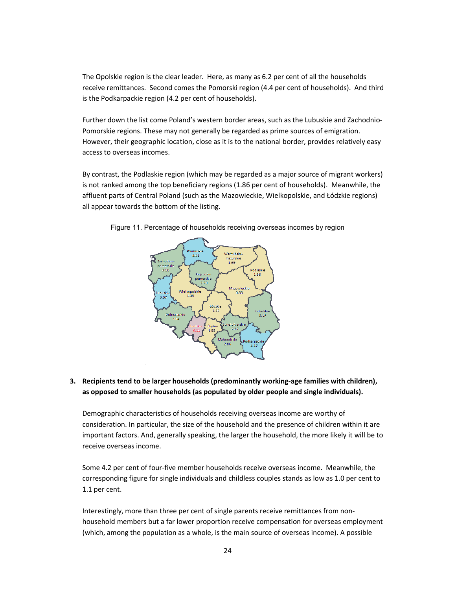The Opolskie region is the clear leader. Here, as many as 6.2 per cent of all the households receive remittances. Second comes the Pomorski region (4.4 per cent of households). And third is the Podkarpackie region (4.2 per cent of households).

Further down the list come Poland's western border areas, such as the Lubuskie and Zachodnio-Pomorskie regions. These may not generally be regarded as prime sources of emigration. However, their geographic location, close as it is to the national border, provides relatively easy access to overseas incomes.

By contrast, the Podlaskie region (which may be regarded as a major source of migrant workers) is not ranked among the top beneficiary regions (1.86 per cent of households). Meanwhile, the affluent parts of Central Poland (such as the Mazowieckie, Wielkopolskie, and Łódzkie regions) all appear towards the bottom of the listing.



Figure 11. Percentage of households receiving overseas incomes by region

#### **3. Recipients tend to be larger households (predominantly working-age families with children), as opposed to smaller households (as populated by older people and single individuals).**

Demographic characteristics of households receiving overseas income are worthy of consideration. In particular, the size of the household and the presence of children within it are important factors. And, generally speaking, the larger the household, the more likely it will be to receive overseas income.

Some 4.2 per cent of four-five member households receive overseas income. Meanwhile, the corresponding figure for single individuals and childless couples stands as low as 1.0 per cent to 1.1 per cent.

Interestingly, more than three per cent of single parents receive remittances from nonhousehold members but a far lower proportion receive compensation for overseas employment (which, among the population as a whole, is the main source of overseas income). A possible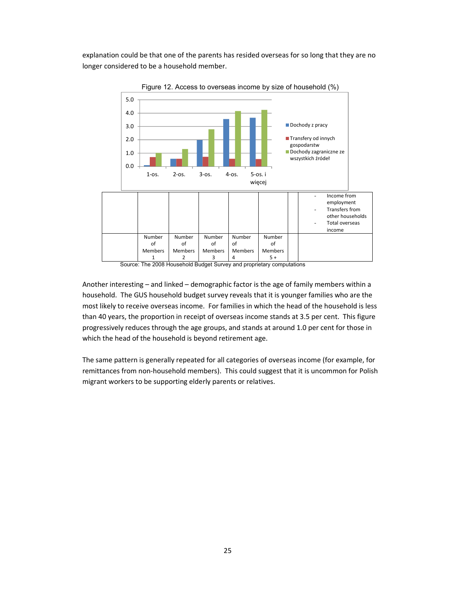explanation could be that one of the parents has resided overseas for so long that they are no longer considered to be a household member.



Figure 12. Access to overseas income by size of household (%)

Source: The 2008 Household Budget Survey and proprietary computations

Another interesting – and linked – demographic factor is the age of family members within a household. The GUS household budget survey reveals that it is younger families who are the most likely to receive overseas income. For families in which the head of the household is less than 40 years, the proportion in receipt of overseas income stands at 3.5 per cent. This figure progressively reduces through the age groups, and stands at around 1.0 per cent for those in which the head of the household is beyond retirement age.

The same pattern is generally repeated for all categories of overseas income (for example, for remittances from non-household members). This could suggest that it is uncommon for Polish migrant workers to be supporting elderly parents or relatives.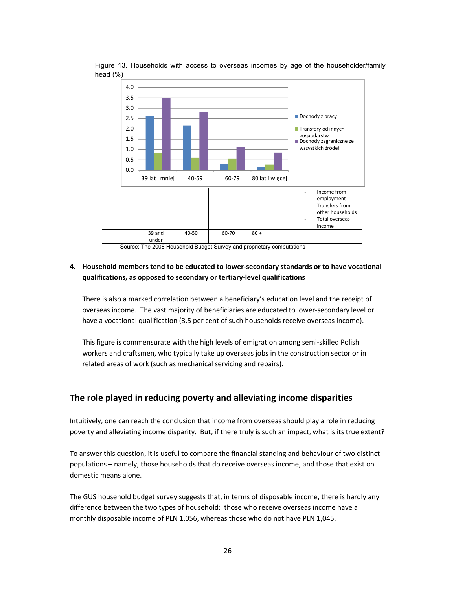

Figure 13. Households with access to overseas incomes by age of the householder/family head (%)

Source: The 2008 Household Budget Survey and proprietary computations

#### **4. Household members tend to be educated to lower-secondary standards or to have vocational qualifications, as opposed to secondary or tertiary-level qualifications**

There is also a marked correlation between a beneficiary's education level and the receipt of overseas income. The vast majority of beneficiaries are educated to lower-secondary level or have a vocational qualification (3.5 per cent of such households receive overseas income).

This figure is commensurate with the high levels of emigration among semi-skilled Polish workers and craftsmen, who typically take up overseas jobs in the construction sector or in related areas of work (such as mechanical servicing and repairs).

### **The role played in reducing poverty and alleviating income disparities**

Intuitively, one can reach the conclusion that income from overseas should play a role in reducing poverty and alleviating income disparity. But, if there truly is such an impact, what is its true extent?

To answer this question, it is useful to compare the financial standing and behaviour of two distinct populations – namely, those households that do receive overseas income, and those that exist on domestic means alone.

The GUS household budget survey suggests that, in terms of disposable income, there is hardly any difference between the two types of household: those who receive overseas income have a monthly disposable income of PLN 1,056, whereas those who do not have PLN 1,045.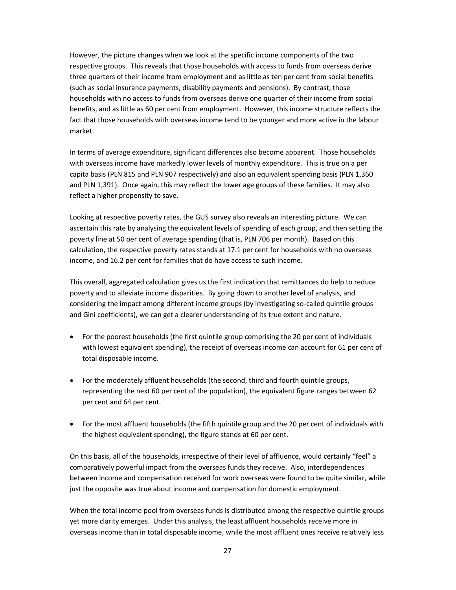However, the picture changes when we look at the specific income components of the two respective groups. This reveals that those households with access to funds from overseas derive three quarters of their income from employment and as little as ten per cent from social benefits (such as social insurance payments, disability payments and pensions). By contrast, those households with no access to funds from overseas derive one quarter of their income from social benefits, and as little as 60 per cent from employment. However, this income structure reflects the fact that those households with overseas income tend to be younger and more active in the labour market.

In terms of average expenditure, significant differences also become apparent. Those households with overseas income have markedly lower levels of monthly expenditure. This is true on a per capita basis (PLN 815 and PLN 907 respectively) and also an equivalent spending basis (PLN 1,360 and PLN 1,391). Once again, this may reflect the lower age groups of these families. It may also reflect a higher propensity to save.

Looking at respective poverty rates, the GUS survey also reveals an interesting picture. We can ascertain this rate by analysing the equivalent levels of spending of each group, and then setting the poverty line at 50 per cent of average spending (that is, PLN 706 per month). Based on this calculation, the respective poverty rates stands at 17.1 per cent for households with no overseas income, and 16.2 per cent for families that do have access to such income.

This overall, aggregated calculation gives us the first indication that remittances do help to reduce poverty and to alleviate income disparities. By going down to another level of analysis, and considering the impact among different income groups (by investigating so-called quintile groups and Gini coefficients), we can get a clearer understanding of its true extent and nature.

- For the poorest households (the first quintile group comprising the 20 per cent of individuals with lowest equivalent spending), the receipt of overseas income can account for 61 per cent of total disposable income.
- For the moderately affluent households (the second, third and fourth quintile groups, representing the next 60 per cent of the population), the equivalent figure ranges between 62 per cent and 64 per cent.
- For the most affluent households (the fifth quintile group and the 20 per cent of individuals with the highest equivalent spending), the figure stands at 60 per cent.

On this basis, all of the households, irrespective of their level of affluence, would certainly "feel" a comparatively powerful impact from the overseas funds they receive. Also, interdependences between income and compensation received for work overseas were found to be quite similar, while just the opposite was true about income and compensation for domestic employment.

When the total income pool from overseas funds is distributed among the respective quintile groups yet more clarity emerges. Under this analysis, the least affluent households receive more in overseas income than in total disposable income, while the most affluent ones receive relatively less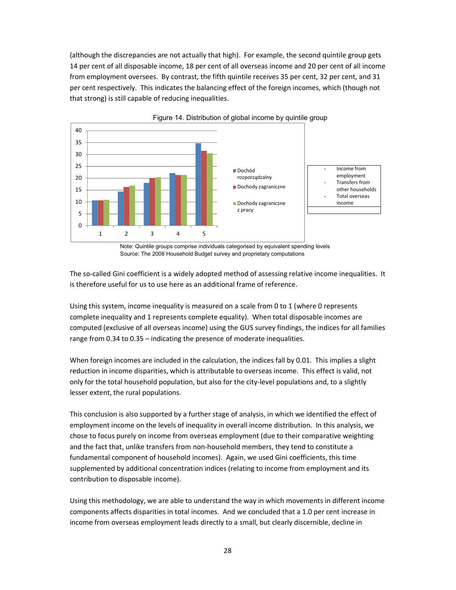(although the discrepancies are not actually that high). For example, the second quintile group gets 14 per cent of all disposable income, 18 per cent of all overseas income and 20 per cent of all income from employment oversees. By contrast, the fifth quintile receives 35 per cent, 32 per cent, and 31 per cent respectively. This indicates the balancing effect of the foreign incomes, which (though not that strong) is still capable of reducing inequalities.



Figure 14. Distribution of global income by quintile group

Note: Quintile groups comprise individuals categorised by equivalent spending levels Source: The 2008 Household Budget survey and proprietary computations

The so-called Gini coefficient is a widely adopted method of assessing relative income inequalities. It is therefore useful for us to use here as an additional frame of reference.

Using this system, income inequality is measured on a scale from 0 to 1 (where 0 represents complete inequality and 1 represents complete equality). When total disposable incomes are computed (exclusive of all overseas income) using the GUS survey findings, the indices for all families range from 0.34 to 0.35 – indicating the presence of moderate inequalities.

When foreign incomes are included in the calculation, the indices fall by 0.01. This implies a slight reduction in income disparities, which is attributable to overseas income. This effect is valid, not only for the total household population, but also for the city-level populations and, to a slightly lesser extent, the rural populations.

This conclusion is also supported by a further stage of analysis, in which we identified the effect of employment income on the levels of inequality in overall income distribution. In this analysis, we chose to focus purely on income from overseas employment (due to their comparative weighting and the fact that, unlike transfers from non-household members, they tend to constitute a fundamental component of household incomes). Again, we used Gini coefficients, this time supplemented by additional concentration indices (relating to income from employment and its contribution to disposable income).

Using this methodology, we are able to understand the way in which movements in different income components affects disparities in total incomes. And we concluded that a 1.0 per cent increase in income from overseas employment leads directly to a small, but clearly discernible, decline in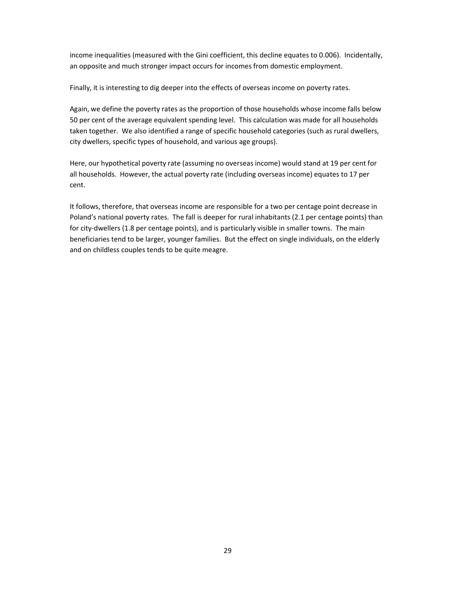income inequalities (measured with the Gini coefficient, this decline equates to 0.006). Incidentally, an opposite and much stronger impact occurs for incomes from domestic employment.

Finally, it is interesting to dig deeper into the effects of overseas income on poverty rates.

Again, we define the poverty rates as the proportion of those households whose income falls below 50 per cent of the average equivalent spending level. This calculation was made for all households taken together. We also identified a range of specific household categories (such as rural dwellers, city dwellers, specific types of household, and various age groups).

Here, our hypothetical poverty rate (assuming no overseas income) would stand at 19 per cent for all households. However, the actual poverty rate (including overseas income) equates to 17 per cent.

It follows, therefore, that overseas income are responsible for a two per centage point decrease in Poland's national poverty rates. The fall is deeper for rural inhabitants (2.1 per centage points) than for city-dwellers (1.8 per centage points), and is particularly visible in smaller towns. The main beneficiaries tend to be larger, younger families. But the effect on single individuals, on the elderly and on childless couples tends to be quite meagre.